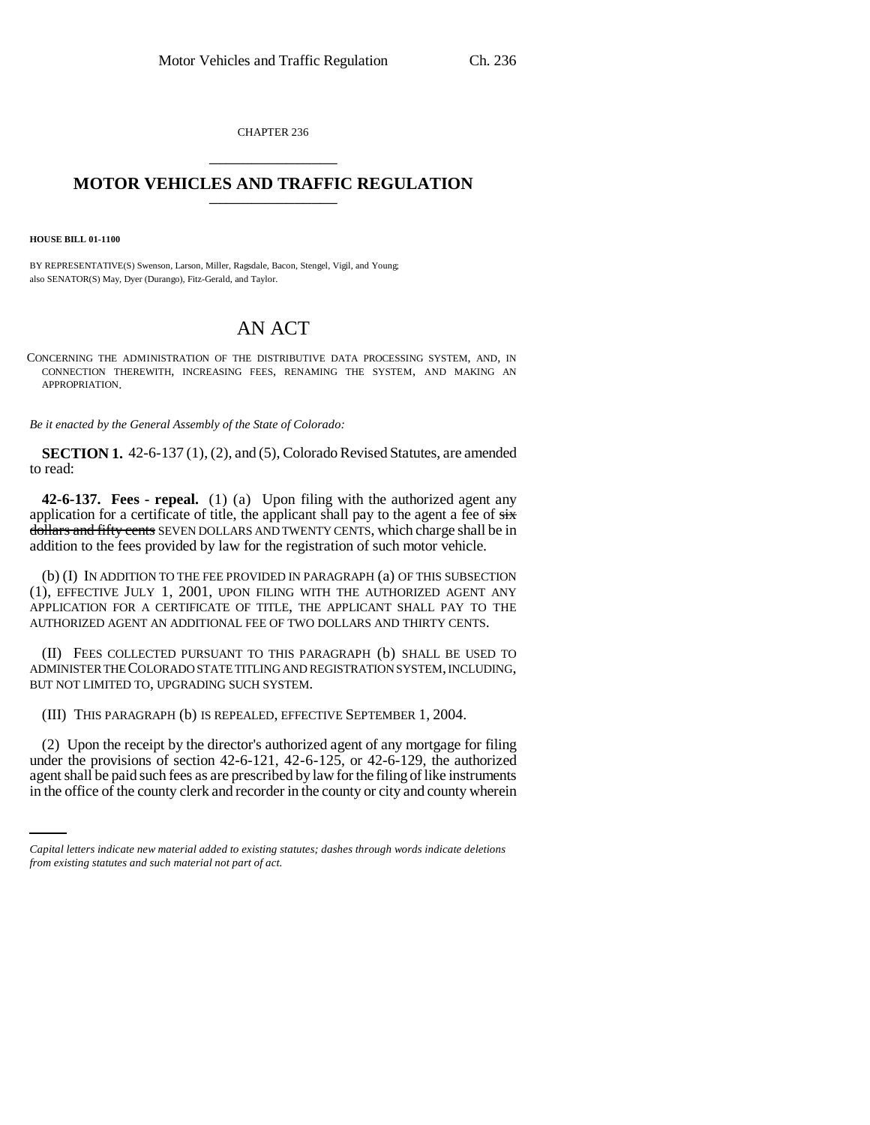CHAPTER 236 \_\_\_\_\_\_\_\_\_\_\_\_\_\_\_

## **MOTOR VEHICLES AND TRAFFIC REGULATION** \_\_\_\_\_\_\_\_\_\_\_\_\_\_\_

**HOUSE BILL 01-1100**

BY REPRESENTATIVE(S) Swenson, Larson, Miller, Ragsdale, Bacon, Stengel, Vigil, and Young; also SENATOR(S) May, Dyer (Durango), Fitz-Gerald, and Taylor.

## AN ACT

CONCERNING THE ADMINISTRATION OF THE DISTRIBUTIVE DATA PROCESSING SYSTEM, AND, IN CONNECTION THEREWITH, INCREASING FEES, RENAMING THE SYSTEM, AND MAKING AN APPROPRIATION.

*Be it enacted by the General Assembly of the State of Colorado:*

**SECTION 1.** 42-6-137 (1), (2), and (5), Colorado Revised Statutes, are amended to read:

**42-6-137. Fees - repeal.** (1) (a) Upon filing with the authorized agent any application for a certificate of title, the applicant shall pay to the agent a fee of  $s$ ix dollars and fifty cents SEVEN DOLLARS AND TWENTY CENTS, which charge shall be in addition to the fees provided by law for the registration of such motor vehicle.

(b) (I) IN ADDITION TO THE FEE PROVIDED IN PARAGRAPH (a) OF THIS SUBSECTION (1), EFFECTIVE JULY 1, 2001, UPON FILING WITH THE AUTHORIZED AGENT ANY APPLICATION FOR A CERTIFICATE OF TITLE, THE APPLICANT SHALL PAY TO THE AUTHORIZED AGENT AN ADDITIONAL FEE OF TWO DOLLARS AND THIRTY CENTS.

(II) FEES COLLECTED PURSUANT TO THIS PARAGRAPH (b) SHALL BE USED TO ADMINISTER THE COLORADO STATE TITLING AND REGISTRATION SYSTEM, INCLUDING, BUT NOT LIMITED TO, UPGRADING SUCH SYSTEM.

(III) THIS PARAGRAPH (b) IS REPEALED, EFFECTIVE SEPTEMBER 1, 2004.

under the provisions of section 42-6-121, 42-6-125, or 42-6-129, the authorized (2) Upon the receipt by the director's authorized agent of any mortgage for filing agent shall be paid such fees as are prescribed by law for the filing of like instruments in the office of the county clerk and recorder in the county or city and county wherein

*Capital letters indicate new material added to existing statutes; dashes through words indicate deletions from existing statutes and such material not part of act.*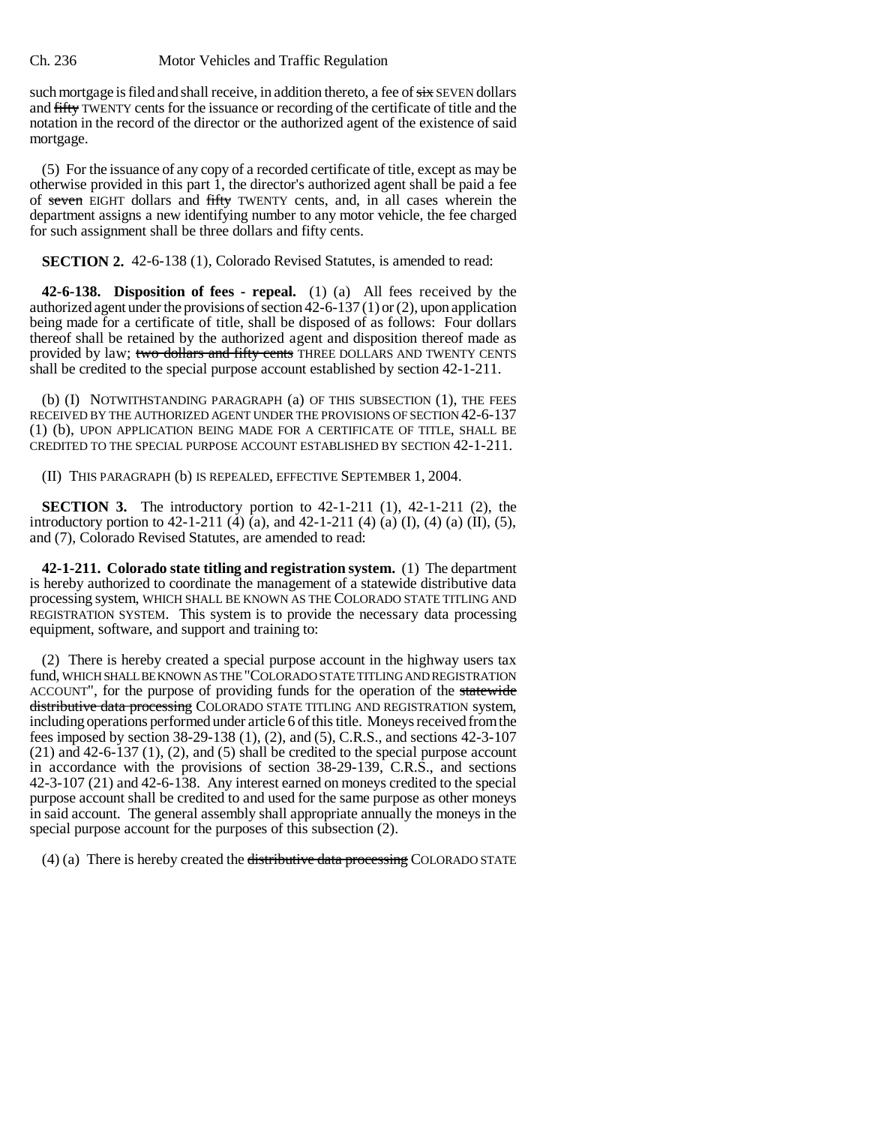## Ch. 236 Motor Vehicles and Traffic Regulation

such mortgage is filed and shall receive, in addition thereto, a fee of  $\frac{1}{5}x$  SEVEN dollars and fifty TWENTY cents for the issuance or recording of the certificate of title and the notation in the record of the director or the authorized agent of the existence of said mortgage.

(5) For the issuance of any copy of a recorded certificate of title, except as may be otherwise provided in this part 1, the director's authorized agent shall be paid a fee of seven EIGHT dollars and fifty TWENTY cents, and, in all cases wherein the department assigns a new identifying number to any motor vehicle, the fee charged for such assignment shall be three dollars and fifty cents.

**SECTION 2.** 42-6-138 (1), Colorado Revised Statutes, is amended to read:

**42-6-138. Disposition of fees - repeal.** (1) (a) All fees received by the authorized agent under the provisions of section 42-6-137 (1) or (2), upon application being made for a certificate of title, shall be disposed of as follows: Four dollars thereof shall be retained by the authorized agent and disposition thereof made as provided by law; two dollars and fifty cents THREE DOLLARS AND TWENTY CENTS shall be credited to the special purpose account established by section 42-1-211.

(b) (I) NOTWITHSTANDING PARAGRAPH (a) OF THIS SUBSECTION (1), THE FEES RECEIVED BY THE AUTHORIZED AGENT UNDER THE PROVISIONS OF SECTION 42-6-137 (1) (b), UPON APPLICATION BEING MADE FOR A CERTIFICATE OF TITLE, SHALL BE CREDITED TO THE SPECIAL PURPOSE ACCOUNT ESTABLISHED BY SECTION 42-1-211.

(II) THIS PARAGRAPH (b) IS REPEALED, EFFECTIVE SEPTEMBER 1, 2004.

**SECTION 3.** The introductory portion to 42-1-211 (1), 42-1-211 (2), the introductory portion to 42-1-211 (4) (a), and 42-1-211 (4) (a) (I), (4) (a) (II), (5), and (7), Colorado Revised Statutes, are amended to read:

**42-1-211. Colorado state titling and registration system.** (1) The department is hereby authorized to coordinate the management of a statewide distributive data processing system, WHICH SHALL BE KNOWN AS THE COLORADO STATE TITLING AND REGISTRATION SYSTEM. This system is to provide the necessary data processing equipment, software, and support and training to:

(2) There is hereby created a special purpose account in the highway users tax fund, WHICH SHALL BE KNOWN AS THE "COLORADO STATE TITLING AND REGISTRATION ACCOUNT", for the purpose of providing funds for the operation of the statewide distributive data processing COLORADO STATE TITLING AND REGISTRATION system, including operations performed under article 6 of this title. Moneys received from the fees imposed by section 38-29-138 (1), (2), and (5), C.R.S., and sections 42-3-107 (21) and 42-6-137 (1), (2), and (5) shall be credited to the special purpose account in accordance with the provisions of section 38-29-139, C.R.S., and sections 42-3-107 (21) and 42-6-138. Any interest earned on moneys credited to the special purpose account shall be credited to and used for the same purpose as other moneys in said account. The general assembly shall appropriate annually the moneys in the special purpose account for the purposes of this subsection (2).

(4) (a) There is hereby created the distributive data processing COLORADO STATE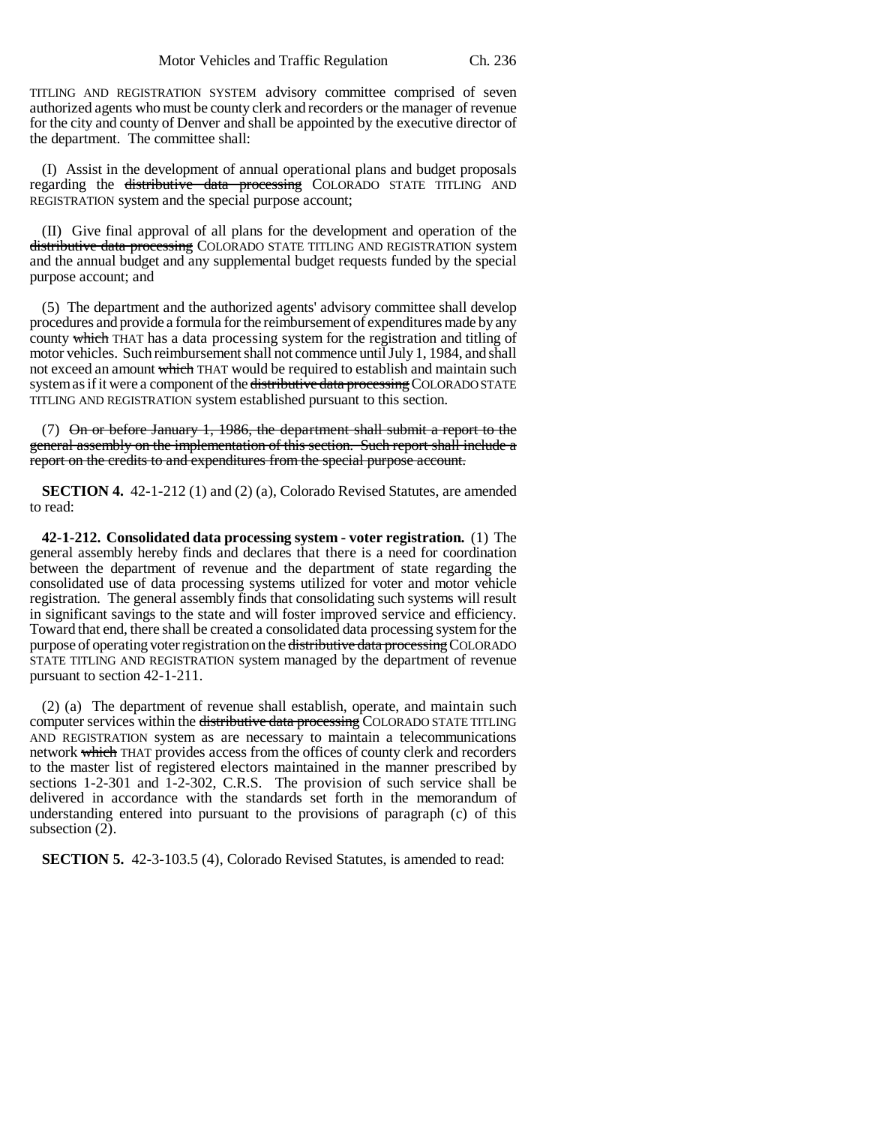TITLING AND REGISTRATION SYSTEM advisory committee comprised of seven authorized agents who must be county clerk and recorders or the manager of revenue for the city and county of Denver and shall be appointed by the executive director of the department. The committee shall:

(I) Assist in the development of annual operational plans and budget proposals regarding the distributive data processing COLORADO STATE TITLING AND REGISTRATION system and the special purpose account;

(II) Give final approval of all plans for the development and operation of the distributive data processing COLORADO STATE TITLING AND REGISTRATION system and the annual budget and any supplemental budget requests funded by the special purpose account; and

(5) The department and the authorized agents' advisory committee shall develop procedures and provide a formula for the reimbursement of expenditures made by any county which THAT has a data processing system for the registration and titling of motor vehicles. Such reimbursement shall not commence until July 1, 1984, and shall not exceed an amount which THAT would be required to establish and maintain such system as if it were a component of the distributive data processing COLORADO STATE TITLING AND REGISTRATION system established pursuant to this section.

(7) On or before January 1, 1986, the department shall submit a report to the general assembly on the implementation of this section. Such report shall include a report on the credits to and expenditures from the special purpose account.

**SECTION 4.** 42-1-212 (1) and (2) (a), Colorado Revised Statutes, are amended to read:

**42-1-212. Consolidated data processing system - voter registration.** (1) The general assembly hereby finds and declares that there is a need for coordination between the department of revenue and the department of state regarding the consolidated use of data processing systems utilized for voter and motor vehicle registration. The general assembly finds that consolidating such systems will result in significant savings to the state and will foster improved service and efficiency. Toward that end, there shall be created a consolidated data processing system for the purpose of operating voter registration on the distributive data processing COLORADO STATE TITLING AND REGISTRATION system managed by the department of revenue pursuant to section 42-1-211.

(2) (a) The department of revenue shall establish, operate, and maintain such computer services within the distributive data processing COLORADO STATE TITLING AND REGISTRATION system as are necessary to maintain a telecommunications network which THAT provides access from the offices of county clerk and recorders to the master list of registered electors maintained in the manner prescribed by sections 1-2-301 and 1-2-302, C.R.S. The provision of such service shall be delivered in accordance with the standards set forth in the memorandum of understanding entered into pursuant to the provisions of paragraph (c) of this subsection (2).

**SECTION 5.** 42-3-103.5 (4), Colorado Revised Statutes, is amended to read: